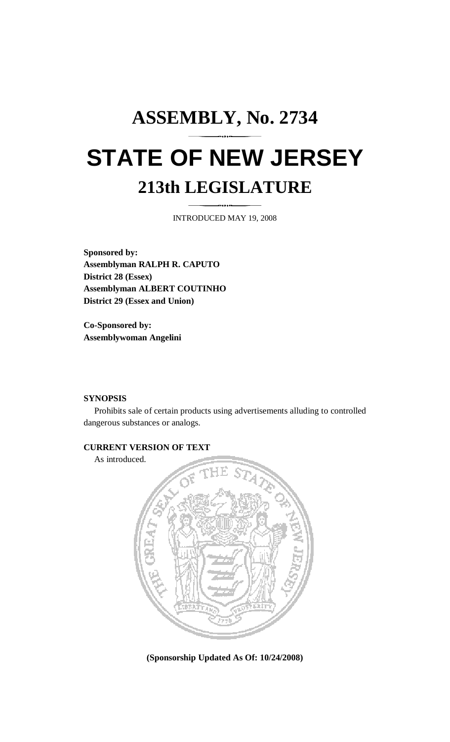## **ASSEMBLY, No. 2734 STATE OF NEW JERSEY 213th LEGISLATURE**

INTRODUCED MAY 19, 2008

**Sponsored by: Assemblyman RALPH R. CAPUTO District 28 (Essex) Assemblyman ALBERT COUTINHO District 29 (Essex and Union)** 

**Co-Sponsored by: Assemblywoman Angelini** 

## **SYNOPSIS**

 Prohibits sale of certain products using advertisements alluding to controlled dangerous substances or analogs.

## **CURRENT VERSION OF TEXT**

As introduced.



**(Sponsorship Updated As Of: 10/24/2008)**